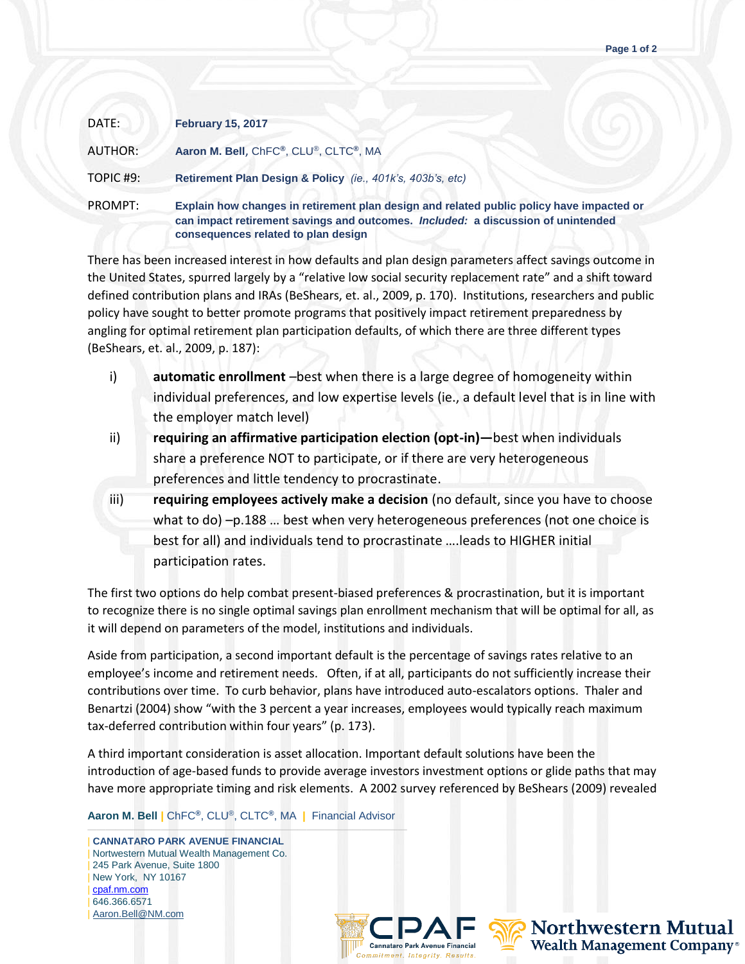| DATE:     | <b>February 15, 2017</b>                                                                                                                                                                                            |
|-----------|---------------------------------------------------------------------------------------------------------------------------------------------------------------------------------------------------------------------|
| AUTHOR:   | Aaron M. Bell, ChFC®, CLU®, CLTC®, MA                                                                                                                                                                               |
| TOPIC #9: | Retirement Plan Design & Policy (ie., 401k's, 403b's, etc)                                                                                                                                                          |
| PROMPT:   | Explain how changes in retirement plan design and related public policy have impacted or<br>can impact retirement savings and outcomes. Included: a discussion of unintended<br>consequences related to plan design |

There has been increased interest in how defaults and plan design parameters affect savings outcome in the United States, spurred largely by a "relative low social security replacement rate" and a shift toward defined contribution plans and IRAs (BeShears, et. al., 2009, p. 170). Institutions, researchers and public policy have sought to better promote programs that positively impact retirement preparedness by angling for optimal retirement plan participation defaults, of which there are three different types (BeShears, et. al., 2009, p. 187):

- i) **automatic enrollment** –best when there is a large degree of homogeneity within individual preferences, and low expertise levels (ie., a default level that is in line with the employer match level)
- ii) **requiring an affirmative participation election (opt-in)—**best when individuals share a preference NOT to participate, or if there are very heterogeneous preferences and little tendency to procrastinate.
- iii) **requiring employees actively make a decision** (no default, since you have to choose what to do) –p.188 … best when very heterogeneous preferences (not one choice is best for all) and individuals tend to procrastinate ….leads to HIGHER initial participation rates.

The first two options do help combat present-biased preferences & procrastination, but it is important to recognize there is no single optimal savings plan enrollment mechanism that will be optimal for all, as it will depend on parameters of the model, institutions and individuals.

Aside from participation, a second important default is the percentage of savings rates relative to an employee's income and retirement needs. Often, if at all, participants do not sufficiently increase their contributions over time. To curb behavior, plans have introduced auto-escalators options. Thaler and Benartzi (2004) show "with the 3 percent a year increases, employees would typically reach maximum tax-deferred contribution within four years" (p. 173).

A third important consideration is asset allocation. Important default solutions have been the introduction of age-based funds to provide average investors investment options or glide paths that may have more appropriate timing and risk elements. A 2002 survey referenced by BeShears (2009) revealed

**Aaron M. Bell |** ChFC**®**, CLU®, CLTC**®**, MA **|** Financial Advisor

——————————————————————————————————— | **CANNATARO PARK AVENUE FINANCIAL** | Nortwestern Mutual Wealth Management Co. | 245 Park Avenue, Suite 1800 | New York, NY 10167 | [cpaf.nm.com](http://www.cpaf.nm.com/) | 646.366.6571 [Aaron.Bell@NM.com](mailto:Aaron.Bell@NM.com)